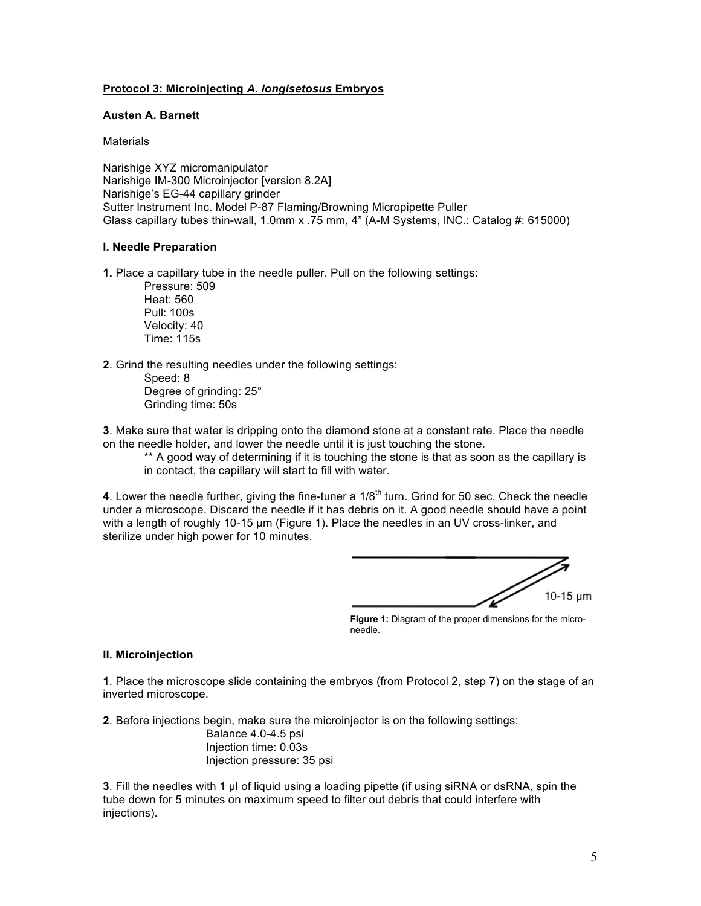# **Protocol 3: Microinjecting** *A. longisetosus* **Embryos**

## **Austen A. Barnett**

#### **Materials**

Narishige XYZ micromanipulator Narishige IM-300 Microinjector [version 8.2A] Narishige's EG-44 capillary grinder Sutter Instrument Inc. Model P-87 Flaming/Browning Micropipette Puller Glass capillary tubes thin-wall, 1.0mm x .75 mm, 4" (A-M Systems, INC.: Catalog #: 615000)

## **I. Needle Preparation**

**1.** Place a capillary tube in the needle puller. Pull on the following settings:

Pressure: 509 Heat: 560 Pull: 100s Velocity: 40 Time: 115s

**2**. Grind the resulting needles under the following settings:

Speed: 8 Degree of grinding: 25° Grinding time: 50s

**3**. Make sure that water is dripping onto the diamond stone at a constant rate. Place the needle on the needle holder, and lower the needle until it is just touching the stone.

\*\* A good way of determining if it is touching the stone is that as soon as the capillary is in contact, the capillary will start to fill with water.

**4**. Lower the needle further, giving the fine-tuner a  $1/8<sup>th</sup>$  turn. Grind for 50 sec. Check the needle under a microscope. Discard the needle if it has debris on it. A good needle should have a point with a length of roughly 10-15 µm (Figure 1). Place the needles in an UV cross-linker, and sterilize under high power for 10 minutes.

10-15 um

**Figure 1:** Diagram of the proper dimensions for the microneedle.

# **II. Microinjection**

**1**. Place the microscope slide containing the embryos (from Protocol 2, step 7) on the stage of an inverted microscope.

**2**. Before injections begin, make sure the microinjector is on the following settings: Balance 4.0-4.5 psi Injection time: 0.03s Injection pressure: 35 psi

**3**. Fill the needles with 1 µl of liquid using a loading pipette (if using siRNA or dsRNA, spin the tube down for 5 minutes on maximum speed to filter out debris that could interfere with injections).